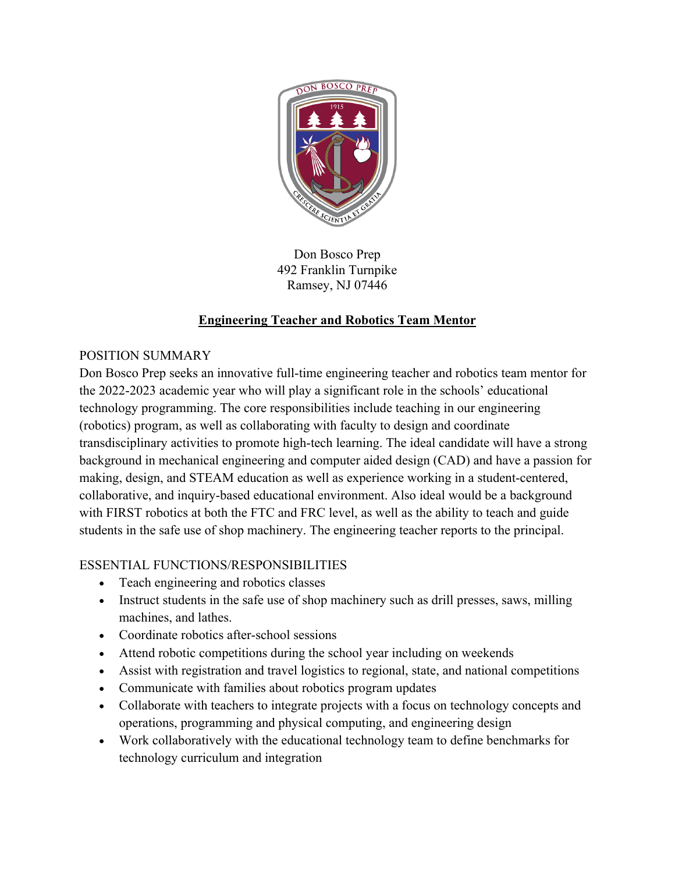

Don Bosco Prep 492 Franklin Turnpike Ramsey, NJ 07446

# **Engineering Teacher and Robotics Team Mentor**

### POSITION SUMMARY

Don Bosco Prep seeks an innovative full-time engineering teacher and robotics team mentor for the 2022-2023 academic year who will play a significant role in the schools' educational technology programming. The core responsibilities include teaching in our engineering (robotics) program, as well as collaborating with faculty to design and coordinate transdisciplinary activities to promote high-tech learning. The ideal candidate will have a strong background in mechanical engineering and computer aided design (CAD) and have a passion for making, design, and STEAM education as well as experience working in a student-centered, collaborative, and inquiry-based educational environment. Also ideal would be a background with FIRST robotics at both the FTC and FRC level, as well as the ability to teach and guide students in the safe use of shop machinery. The engineering teacher reports to the principal.

## ESSENTIAL FUNCTIONS/RESPONSIBILITIES

- Teach engineering and robotics classes
- Instruct students in the safe use of shop machinery such as drill presses, saws, milling machines, and lathes.
- Coordinate robotics after-school sessions
- Attend robotic competitions during the school year including on weekends
- Assist with registration and travel logistics to regional, state, and national competitions
- Communicate with families about robotics program updates
- Collaborate with teachers to integrate projects with a focus on technology concepts and operations, programming and physical computing, and engineering design
- Work collaboratively with the educational technology team to define benchmarks for technology curriculum and integration